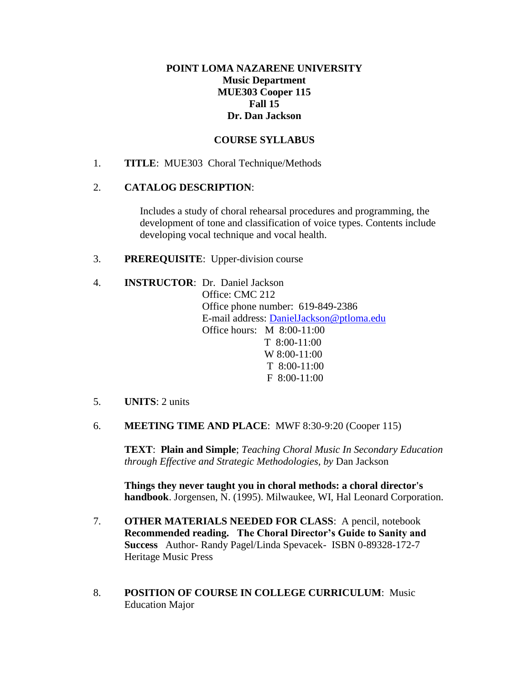## **POINT LOMA NAZARENE UNIVERSITY Music Department MUE303 Cooper 115 Fall 15 Dr. Dan Jackson**

## **COURSE SYLLABUS**

1. **TITLE**: MUE303 Choral Technique/Methods

## 2. **CATALOG DESCRIPTION**:

Includes a study of choral rehearsal procedures and programming, the development of tone and classification of voice types. Contents include developing vocal technique and vocal health.

3. **PREREQUISITE**: Upper-division course

- 4. **INSTRUCTOR**: Dr. Daniel Jackson Office: CMC 212 Office phone number: 619-849-2386 E-mail address: [DanielJackson@ptloma.edu](mailto:DanielJackson@ptloma.edu) Office hours: M 8:00-11:00 T 8:00-11:00 W 8:00-11:00 T 8:00-11:00 F 8:00-11:00
- 5. **UNITS**: 2 units
- 6. **MEETING TIME AND PLACE**: MWF 8:30-9:20 (Cooper 115)

**TEXT**: **Plain and Simple**; *Teaching Choral Music In Secondary Education through Effective and Strategic Methodologies, by* Dan Jackson

**Things they never taught you in choral methods: a choral director's handbook**. Jorgensen, N. (1995). Milwaukee, WI, Hal Leonard Corporation.

- 7. **OTHER MATERIALS NEEDED FOR CLASS**: A pencil, notebook **Recommended reading. The Choral Director's Guide to Sanity and Success** Author- Randy Pagel/Linda Spevacek- ISBN 0-89328-172-7 Heritage Music Press
- 8. **POSITION OF COURSE IN COLLEGE CURRICULUM**: Music Education Major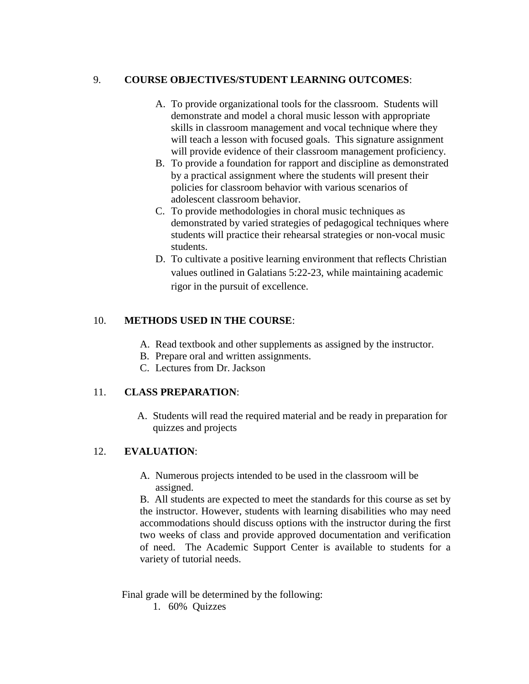## 9. **COURSE OBJECTIVES/STUDENT LEARNING OUTCOMES**:

- A. To provide organizational tools for the classroom. Students will demonstrate and model a choral music lesson with appropriate skills in classroom management and vocal technique where they will teach a lesson with focused goals. This signature assignment will provide evidence of their classroom management proficiency.
- B. To provide a foundation for rapport and discipline as demonstrated by a practical assignment where the students will present their policies for classroom behavior with various scenarios of adolescent classroom behavior.
- C. To provide methodologies in choral music techniques as demonstrated by varied strategies of pedagogical techniques where students will practice their rehearsal strategies or non-vocal music students.
- D. To cultivate a positive learning environment that reflects Christian values outlined in Galatians 5:22-23, while maintaining academic rigor in the pursuit of excellence.

## 10. **METHODS USED IN THE COURSE**:

- A. Read textbook and other supplements as assigned by the instructor.
- B. Prepare oral and written assignments.
- C. Lectures from Dr. Jackson

## 11. **CLASS PREPARATION**:

A. Students will read the required material and be ready in preparation for quizzes and projects

## 12. **EVALUATION**:

A. Numerous projects intended to be used in the classroom will be assigned.

B. All students are expected to meet the standards for this course as set by the instructor. However, students with learning disabilities who may need accommodations should discuss options with the instructor during the first two weeks of class and provide approved documentation and verification of need. The Academic Support Center is available to students for a variety of tutorial needs.

Final grade will be determined by the following:

1. 60% Quizzes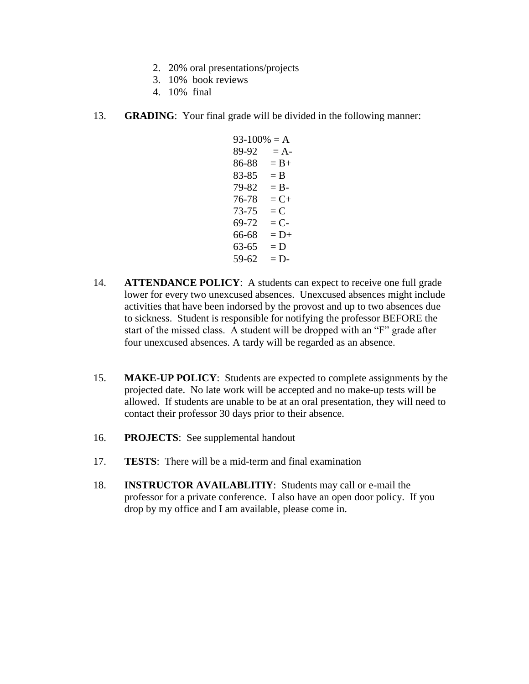- 2. 20% oral presentations/projects
- 3. 10% book reviews
- 4. 10% final
- 13. **GRADING**: Your final grade will be divided in the following manner:
	- $93-100% = A$  $89-92 = A$  $86-88 = B +$  $83-85 = B$  $79-82 = B$  $76-78 = C+$  $73-75 = C$  $69-72 = C$  $66-68 = D+$  $63-65 = D$  $59-62 = D$
- 14. **ATTENDANCE POLICY**: A students can expect to receive one full grade lower for every two unexcused absences. Unexcused absences might include activities that have been indorsed by the provost and up to two absences due to sickness. Student is responsible for notifying the professor BEFORE the start of the missed class. A student will be dropped with an "F" grade after four unexcused absences. A tardy will be regarded as an absence.
- 15. **MAKE-UP POLICY**: Students are expected to complete assignments by the projected date. No late work will be accepted and no make-up tests will be allowed. If students are unable to be at an oral presentation, they will need to contact their professor 30 days prior to their absence.
- 16. **PROJECTS**: See supplemental handout
- 17. **TESTS**: There will be a mid-term and final examination
- 18. **INSTRUCTOR AVAILABLITIY**: Students may call or e-mail the professor for a private conference. I also have an open door policy. If you drop by my office and I am available, please come in.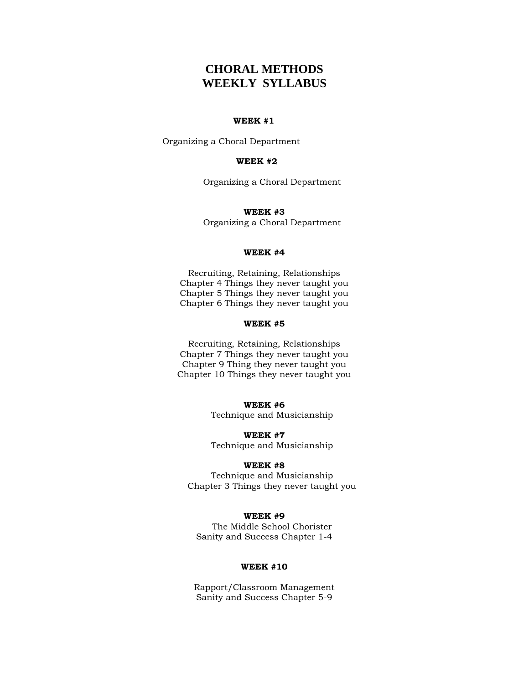# **CHORAL METHODS WEEKLY SYLLABUS**

#### **WEEK #1**

Organizing a Choral Department

### **WEEK #2**

Organizing a Choral Department

#### **WEEK #3**

Organizing a Choral Department

#### **WEEK #4**

Recruiting, Retaining, Relationships Chapter 4 Things they never taught you Chapter 5 Things they never taught you Chapter 6 Things they never taught you

### **WEEK #5**

Recruiting, Retaining, Relationships Chapter 7 Things they never taught you Chapter 9 Thing they never taught you Chapter 10 Things they never taught you

#### **WEEK #6**

Technique and Musicianship

**WEEK #7** Technique and Musicianship

#### **WEEK #8**

Technique and Musicianship Chapter 3 Things they never taught you

#### **WEEK #9**

The Middle School Chorister Sanity and Success Chapter 1-4

### **WEEK #10**

Rapport/Classroom Management Sanity and Success Chapter 5-9